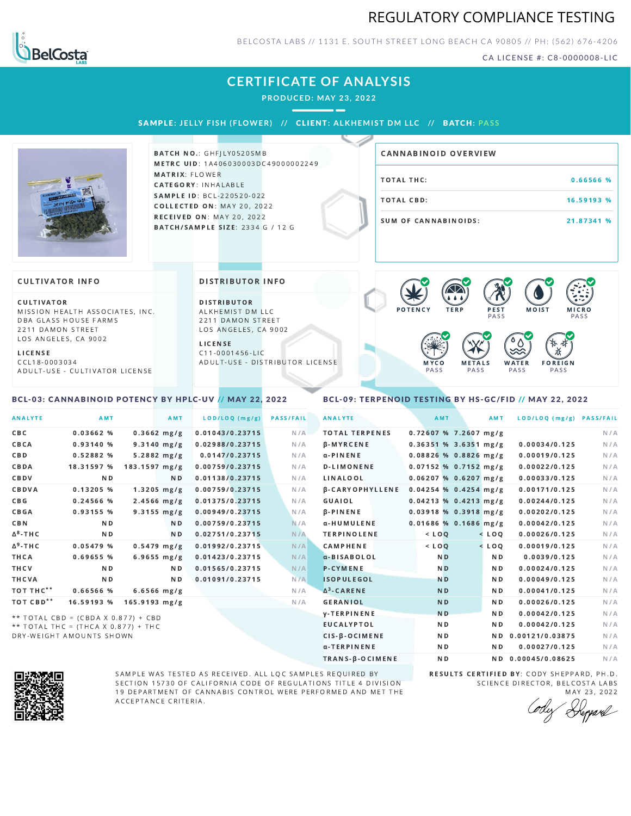### REGULATORY COMPLIANCE TESTING



BELCOSTA LABS // 1131 E. SOUTH STREET LONG BEACH C A 90805 // PH: (562) 676-4206

CA LICENSE #: C8-0000008-LIC

### **CERTIFICATE OF ANALYSIS**

**PRODUCED: MAY 23, 2022**

SAMPLE: JELLY FISH (FLOWER) // CLIENT: ALKHEMIST DM LLC // BATCH: PASS



BATCH NO.: GHFILY0520SMB METRC UID: 1A406030003DC49000002249 MATRIX: FLOWER CATEGORY: INHALABLE SAMPLE ID: BCL-220520-022 **COLLECTED ON: MAY 20, 2022 RECEIVED ON: MAY 20, 2022** BATCH/SAMPLE SIZE: 2334 G / 12 G

# TOTAL THC: 0.66566 % TOTAL CBD: 16.59193 % SUM OF CANNABINOIDS: 21.87341 % CANNABINOID OVERVIEW

#### **CULTIVATOR INFO**

CULTIVATOR MISSION HEALTH ASSOCIATES, INC. DBA GLASS HOUSE FARMS 2211 DAMON STREET LOS ANGELES, CA 9002

<span id="page-0-0"></span>BCL-03: CANNABINOID POTENCY BY HPLC-UV // MAY 22, 2022

L I C E N S E C C L 1 8 - 0 0 0 3 0 3 4 A D U L T - U S E - C U L T I V A T O R L I CENSE DISTRIBUTOR INFO

D I STRIBUTOR ALKHEMIST DM LLC 2211 DAMON STREET LOS ANGELES, CA 9002

L I C E N S E C 1 1 - 0 0 0 1 4 5 6 - L I C A D U L T - U S E - D I STRIBUTOR LICENSE



### <span id="page-0-1"></span>BCL-09: TERPENOID TESTING BY HS-GC/FID // MAY 22, 2022

| <b>ANALYTE</b>        | <b>AMT</b>                          | AMT                     | LOD/LOQ (mg/g)  | <b>PASS/FAIL</b> | <b>ANALYTE</b>                | AMT                     | AMT            | LOD/LOQ (mg/g) PASS/FAIL |     |
|-----------------------|-------------------------------------|-------------------------|-----------------|------------------|-------------------------------|-------------------------|----------------|--------------------------|-----|
| CBC                   | 0.03662%                            | $0.3662$ mg/g           | 0.01043/0.23715 | N/A              | <b>TOTAL TERPENES</b>         | $0.72607$ % 7.2607 mg/g |                |                          | N/A |
| CBCA                  | 0.93140%                            | $9.3140$ mg/g           | 0.02988/0.23715 | N/A              | <b>B-MYRCENE</b>              | $0.36351$ % 3.6351 mg/g |                | 0.00034/0.125            | N/A |
| C B D                 | 0.52882 %                           | $5.2882$ mg/g           | 0.0147/0.23715  | N/A              | $\alpha$ -PINENE              | $0.08826$ % 0.8826 mg/g |                | 0.00019/0.125            | N/A |
| CBDA                  | 18.31597 %                          | 183.1597 mg/g           | 0.00759/0.23715 | N/A              | <b>D-LIMONENE</b>             | $0.07152$ % 0.7152 mg/g |                | 0.00022/0.125            | N/A |
| CBDV                  | N <sub>D</sub>                      | ND.                     | 0.01138/0.23715 | N/A              | LINALOOL                      | $0.06207$ % 0.6207 mg/g |                | 0.00033/0.125            | N/A |
| CBDVA                 | 0.13205%                            | $1.3205$ mg/g           | 0.00759/0.23715 | N/A              | <b><i>B-CARYOPHYLLENE</i></b> | $0.04254$ % 0.4254 mg/g |                | 0.00171/0.125            | N/A |
| C B G                 | 0.24566 %                           | $2.4566$ mg/g           | 0.01375/0.23715 | N/A              | GUAIOL                        | $0.04213$ % 0.4213 mg/g |                | 0.00244/0.125            | N/A |
| CBGA                  | 0.93155 %                           | $9.3155 \, mg/g$        | 0.00949/0.23715 | N/A              | $\beta$ -PINENE               | $0.03918$ % 0.3918 mg/g |                | 0.00202/0.125            | N/A |
| CBN                   | N <sub>D</sub>                      | N D                     | 0.00759/0.23715 | N/A              | α-HUMULENE                    | $0.01686$ % 0.1686 mg/g |                | 0.00042/0.125            | N/A |
| Δ <sup>8</sup> -ΤΗ C  | N <sub>D</sub>                      | N <sub>D</sub>          | 0.02751/0.23715 | N/A              | <b>TERPINOLENE</b>            | $<$ LOQ                 | $<$ LOQ        | 0.00026/0.125            | N/A |
| $\Delta^9$ -THC       | 0.05479 %                           | $0.5479$ mg/g           | 0.01992/0.23715 | N/A              | <b>CAMPHENE</b>               | $<$ $LOQ$               | $<$ LOQ        | 0.00019/0.125            | N/A |
| THCA                  | 0.69655 %                           | $6.9655 \, mg/g$        | 0.01423/0.23715 | N/A              | a-BISABOLOL                   | N <sub>D</sub>          | ND.            | 0.0039/0.125             | N/A |
| THCV                  | N <sub>D</sub>                      | N <sub>D</sub>          | 0.01565/0.23715 | N/A              | <b>P-CYMENE</b>               | N <sub>D</sub>          | N <sub>D</sub> | 0.00024/0.125            | N/A |
| THCVA                 | N <sub>D</sub>                      | ND.                     | 0.01091/0.23715 | N/A              | <b>ISOPULEGOL</b>             | N <sub>D</sub>          | N <sub>D</sub> | 0.00049/0.125            | N/A |
| тот тнс**             | 0.66566 %                           | $6.6566$ mg/g           |                 | N/A              | $\Delta^3$ -CARENE            | N <sub>D</sub>          | N <sub>D</sub> | 0.00041/0.125            | N/A |
| TOT CBD <sup>**</sup> | 16.59193 %                          | $165.9193 \text{ mg/g}$ |                 | N/A              | <b>GERANIOL</b>               | N <sub>D</sub>          | ND.            | 0.00026/0.125            | N/A |
|                       | ** TOTAL CBD = (CBDA X 0.877) + CBD |                         |                 |                  | <b>y-TERPINENE</b>            | N <sub>D</sub>          | N <sub>D</sub> | 0.00042/0.125            | N/A |
|                       | ** TOTAL THC = (THCA X 0.877) + THC |                         |                 |                  | <b>EUCALYPTOL</b>             | N <sub>D</sub>          | N <sub>D</sub> | 0.00042/0.125            | N/A |

 $**$  TOTAL THC = (THCA X 0.877) + THC DRY-WEIGHT AMOUNTS SHOWN



SAMPLE WAS TESTED AS RECEIVED. ALL LQC SAMPLES REQUIRED BY SECTION 15730 OF CALIFORNIA CODE OF REGULATIONS TITLE 4 DIVISION 19 DEPARTMENT OF CANNABIS CONTROL WERE PERFORMED AND MET THE A C C E P T A N C E C R I T E R I A.

RESULTS CERTIFIED BY: CODY SHEPPARD, PH.D. SCIENCE DIRECTOR, BELCOSTA LABS MAY 23, 2022

CIS-β-OCIMENE ND ND 0.00121/0.03875 N/A α-TERPINENE ND ND 0.00027/0.125 N/A TRANS-β-OCIMENE ND ND 0.00045/0.08625 N/A

Repard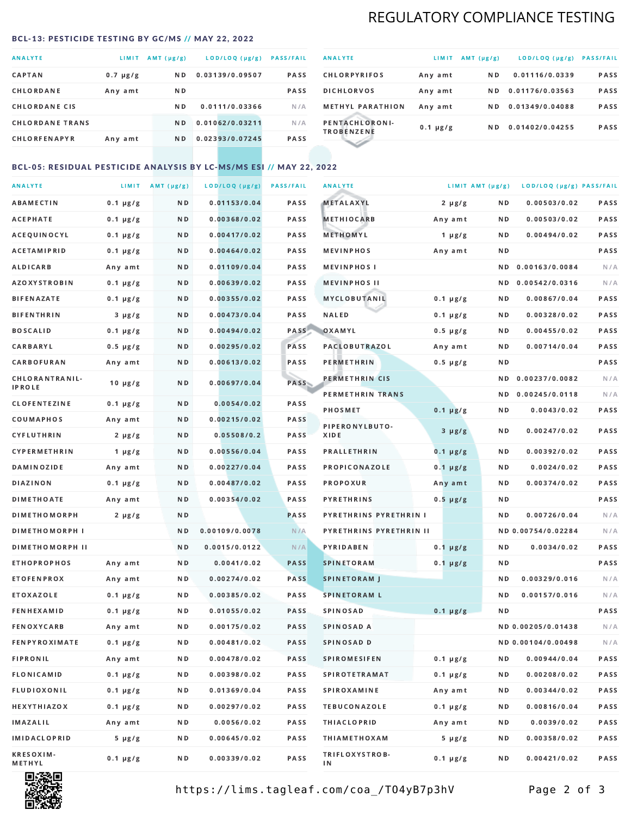# REGULATORY COMPLIANCE TESTING

#### <span id="page-1-0"></span>BCL-13: PESTICIDE TESTING BY GC/MS // MAY 22, 2022

| <b>ANALYTE</b>         | LIMIT         | $AMT(\mu g/g)$ | LOD/LOQ (µg/g)  | <b>PASS/FAIL</b> |
|------------------------|---------------|----------------|-----------------|------------------|
| <b>CAPTAN</b>          | $0.7 \mu g/g$ | ND.            | 0.03139/0.09507 | <b>PASS</b>      |
| CHLORDANE              | Any amt       | ND.            |                 | <b>PASS</b>      |
| <b>CHLORDANE CIS</b>   |               | N <sub>D</sub> | 0.0111/0.03366  | N/A              |
| <b>CHLORDANE TRANS</b> |               | N <sub>D</sub> | 0.01062/0.03211 | N/A              |
| <b>CHLORFENAPYR</b>    | Any amt       | N D            | 0.02393/0.07245 | <b>PASS</b>      |

| <b>ANALYTE</b>                      | LIMIT         | $AMT(\mu g/g)$ | LOD/LOQ (µg/g)  | <b>PASS/FAIL</b> |
|-------------------------------------|---------------|----------------|-----------------|------------------|
| <b>CHLORPYRIFOS</b>                 | Any amt       | N D            | 0.01116/0.0339  | <b>PASS</b>      |
| <b>DICHLORVOS</b>                   | Any amt       | N D            | 0.01176/0.03563 | <b>PASS</b>      |
| <b>METHYL PARATHION</b>             | Any amt       | ND.            | 0.01349/0.04088 | <b>PASS</b>      |
| PENTACHLORONI-<br><b>TROBENZENE</b> | $0.1 \mu g/g$ | ND.            | 0.01402/0.04255 | <b>PASS</b>      |
|                                     |               |                |                 |                  |

### BCL-05: RESIDUAL PESTICIDE ANALYSIS BY LC-MS/MS ESI // MAY 22, 2022

| <b>ANALYTE</b>             |               | LIMIT AMT $(\mu g/g)$ | LOD/LOQ (µg/g) | <b>PASS/FAIL</b> | <b>ANALYTE</b>          |               | LIMIT AMT (µg/g) | LOD/LOQ (µg/g) PASS/FAIL |      |
|----------------------------|---------------|-----------------------|----------------|------------------|-------------------------|---------------|------------------|--------------------------|------|
| ABAMECTIN                  | $0.1 \mu g/g$ | N D                   | 0.01153/0.04   | PASS             | <b>METALAXYL</b>        | $2 \mu g/g$   | N D              | 0.00503/0.02             | PASS |
| <b>ACEPHATE</b>            | $0.1 \mu g/g$ | N D                   | 0.00368/0.02   | PASS             | <b>METHIOCARB</b>       | Any amt       | N D              | 0.00503/0.02             | PASS |
| ACEQUINOCYL                | $0.1 \mu g/g$ | N D                   | 0.00417/0.02   | PASS             | METHOMYL                | 1 $\mu$ g/g   | N D              | 0.00494/0.02             | PASS |
| ACETAMIPRID                | $0.1 \mu g/g$ | N D                   | 0.00464/0.02   | PASS             | <b>MEVINPHOS</b>        | Any amt       | N D              |                          | PASS |
| <b>ALDICARB</b>            | Any amt       | N D                   | 0.01109/0.04   | PASS             | <b>MEVINPHOSI</b>       |               | N D              | 0.00163/0.0084           | N/A  |
| <b>AZOXYSTROBIN</b>        | $0.1 \mu g/g$ | N D                   | 0.00639/0.02   | PASS             | <b>MEVINPHOS II</b>     |               | N D              | 0.00542/0.0316           | N/A  |
| <b>BIFENAZATE</b>          | $0.1 \mu g/g$ | N D                   | 0.00355/0.02   | PASS             | <b>MYCLOBUTANIL</b>     | $0.1 \mu g/g$ | N D              | 0.00867/0.04             | PASS |
| <b>BIFENTHRIN</b>          | $3 \mu g/g$   | N D                   | 0.00473/0.04   | PASS             | <b>NALED</b>            | $0.1 \mu g/g$ | N D              | 0.00328/0.02             | PASS |
| <b>BOSCALID</b>            | $0.1 \mu g/g$ | N D                   | 0.00494/0.02   | PASS             | OXAMYL                  | $0.5 \mu g/g$ | N D              | 0.00455/0.02             | PASS |
| CARBARYL                   | $0.5 \mu g/g$ | N D                   | 0.00295/0.02   | PASS             | <b>PACLOBUTRAZOL</b>    | Any amt       | N D              | 0.00714/0.04             | PASS |
| CARBOFURAN                 | Any amt       | N D                   | 0.00613/0.02   | PASS             | PERMETHRIN              | $0.5 \mu g/g$ | N D              |                          | PASS |
| CHLORANTRANIL-             | $10 \mu g/g$  | N D                   | 0.00697/0.04   | PASS             | PERMETHRIN CIS          |               | ND.              | 0.00237/0.0082           | N/A  |
| <b>IPROLE</b>              |               |                       |                |                  | PERMETHRIN TRANS        |               |                  | ND 0.00245/0.0118        | N/A  |
| <b>CLOFENTEZINE</b>        | $0.1 \mu g/g$ | ND.                   | 0.0054/0.02    | PASS             | <b>PHOSMET</b>          | $0.1 \mu g/g$ | N D              | 0.0043/0.02              | PASS |
| COUMAPHOS                  | Any amt       | N D                   | 0.00215/0.02   | <b>PASS</b>      | PIPERONYLBUTO-          | $3 \mu g/g$   | N D              | 0.00247/0.02             | PASS |
| CYFLUTHRIN                 | $2 \mu g/g$   | N D                   | 0.05508/0.2    | <b>PASS</b>      | XIDE                    |               |                  |                          |      |
| <b>CYPERMETHRIN</b>        | $1 \mu g/g$   | N D                   | 0.00556/0.04   | PASS             | <b>PRALLETHRIN</b>      | $0.1 \mu g/g$ | N D              | 0.00392/0.02             | PASS |
| <b>DAMINOZIDE</b>          | Any amt       | N D                   | 0.00227/0.04   | PASS             | PROPICONAZOLE           | $0.1 \mu g/g$ | N D              | 0.0024/0.02              | PASS |
| DIAZINON                   | $0.1 \mu g/g$ | N D                   | 0.00487/0.02   | PASS             | <b>PROPOXUR</b>         | Any amt       | N D              | 0.00374/0.02             | PASS |
| <b>DIMETHOATE</b>          | Any amt       | N D                   | 0.00354/0.02   | PASS             | <b>PYRETHRINS</b>       | $0.5 \mu g/g$ | N D              |                          | PASS |
| <b>DIMETHOMORPH</b>        | $2 \mu g/g$   | N D                   |                | PASS             | PYRETHRINS PYRETHRIN I  |               | ND.              | 0.00726/0.04             | N/A  |
| <b>DIMETHOMORPH I</b>      |               | N D                   | 0.00109/0.0078 | N/A              | PYRETHRINS PYRETHRIN II |               |                  | ND 0.00754/0.02284       | N/A  |
| <b>DIMETHOMORPH II</b>     |               | N D                   | 0.0015/0.0122  | N/A              | <b>PYRIDABEN</b>        | $0.1 \mu g/g$ | N D              | 0.0034/0.02              | PASS |
| <b>ETHOPROPHOS</b>         | Any amt       | N D                   | 0.0041/0.02    | <b>PASS</b>      | <b>SPINETORAM</b>       | $0.1 \mu g/g$ | N D              |                          | PASS |
| <b>ETOFENPROX</b>          | Any amt       | ND.                   | 0.00274/0.02   | <b>PASS</b>      | <b>SPINETORAM J</b>     |               | N D              | 0.00329/0.016            | N/A  |
| ETOXAZOLE                  | $0.1 \mu g/g$ | N D                   | 0.00385/0.02   | PASS             | <b>SPINETORAM L</b>     |               | N D              | 0.00157/0.016            | N/A  |
| <b>FENHEXAMID</b>          | $0.1 \mu g/g$ | N D                   | 0.01055/0.02   | PASS             | <b>SPINOSAD</b>         | $0.1 \mu g/g$ | N D              |                          | PASS |
| <b>FENOXYCARB</b>          | Any amt       | N D                   | 0.00175/0.02   | <b>PASS</b>      | SPINOSAD A              |               |                  | ND 0.00205/0.01438       | N/A  |
| <b>FENPYROXIMATE</b>       | $0.1 \mu g/g$ | N D                   | 0.00481/0.02   | PASS             | SPINOSAD D              |               |                  | ND 0.00104/0.00498       | N/A  |
| <b>FIPRONIL</b>            | Any amt       | N D                   | 0.00478/0.02   | PASS             | <b>SPIROMESIFEN</b>     | $0.1 \mu g/g$ | N D              | 0.00944/0.04             | PASS |
| FLONICAMID                 | $0.1 \mu g/g$ | N D                   | 0.00398/0.02   | PASS             | SPIROTETRAMAT           | $0.1 \mu g/g$ | N D              | 0.00208/0.02             | PASS |
| FLUDIOXONIL                | $0.1 \mu g/g$ | N D                   | 0.01369/0.04   | PASS             | <b>SPIROXAMINE</b>      | Any amt       | N D              | 0.00344/0.02             | PASS |
| HEXYTHIAZOX                | $0.1 \mu g/g$ | N D                   | 0.00297/0.02   | PASS             | <b>TEBUCONAZOLE</b>     | $0.1 \mu g/g$ | N D              | 0.00816/0.04             | PASS |
| IMAZALIL                   | Any amt       | N D                   | 0.0056/0.02    | PASS             | <b>THIACLOPRID</b>      | Any amt       | N D              | 0.0039/0.02              | PASS |
| <b>IMIDACLOPRID</b>        | $5 \mu g/g$   | N D                   | 0.00645/0.02   | PASS             | <b>THIAMETHOXAM</b>     | $5 \mu g/g$   | N D              | 0.00358/0.02             | PASS |
| <b>KRESOXIM-</b><br>METHYL | $0.1 \mu g/g$ | N D                   | 0.00339/0.02   | PASS             | TRIFLOXYSTROB-<br>ΙN    | $0.1 \mu g/g$ | N D              | 0.00421/0.02             | PASS |